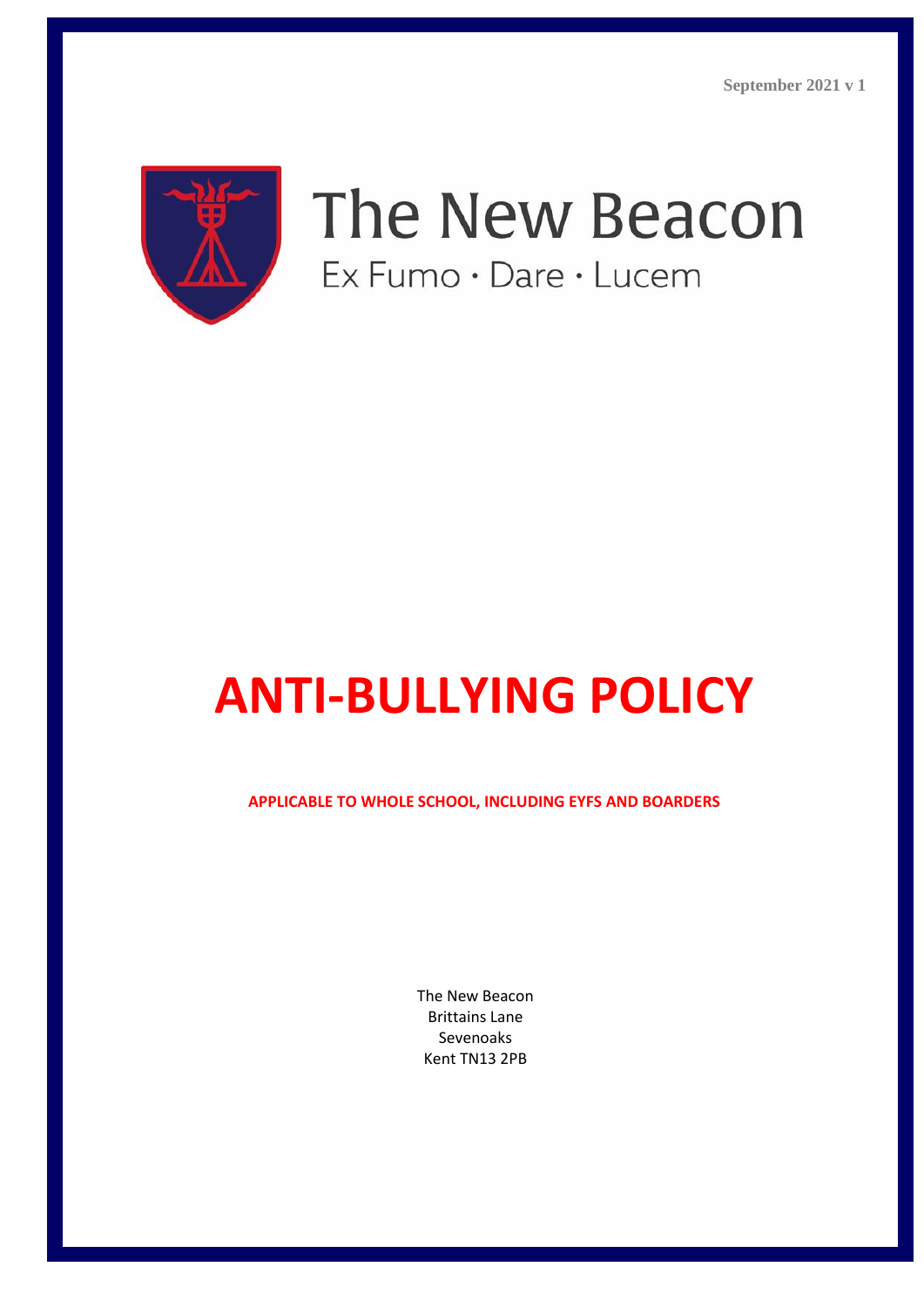

# The New Beacon Ex Fumo · Dare · Lucem

# **ANTI-BULLYING POLICY**

**APPLICABLE TO WHOLE SCHOOL, INCLUDING EYFS AND BOARDERS**

The New Beacon Brittains Lane Sevenoaks Kent TN13 2PB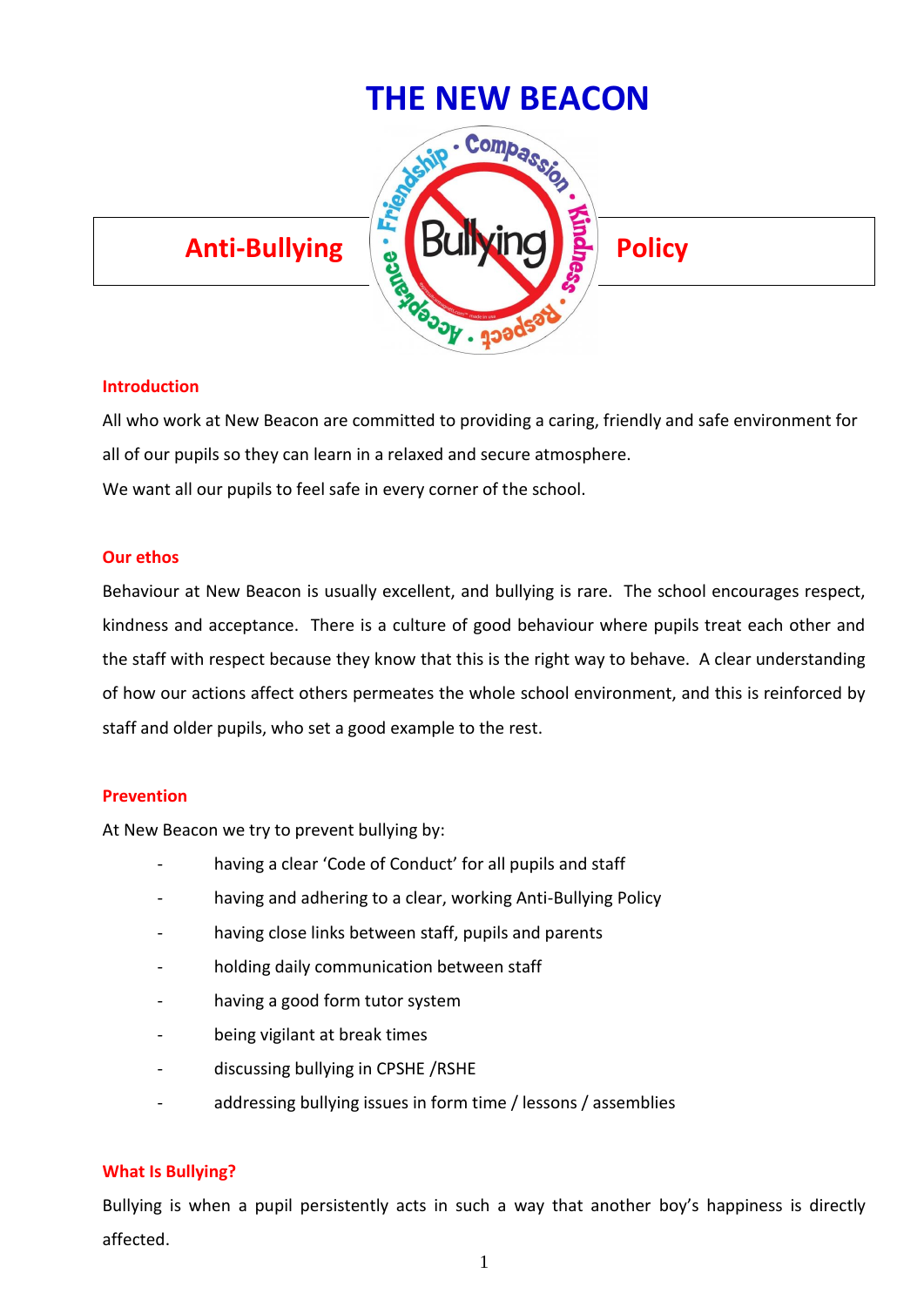

### **Introduction**

All who work at New Beacon are committed to providing a caring, friendly and safe environment for all of our pupils so they can learn in a relaxed and secure atmosphere. We want all our pupils to feel safe in every corner of the school.

#### **Our ethos**

Behaviour at New Beacon is usually excellent, and bullying is rare. The school encourages respect, kindness and acceptance. There is a culture of good behaviour where pupils treat each other and the staff with respect because they know that this is the right way to behave. A clear understanding of how our actions affect others permeates the whole school environment, and this is reinforced by staff and older pupils, who set a good example to the rest.

#### **Prevention**

At New Beacon we try to prevent bullying by:

- having a clear 'Code of Conduct' for all pupils and staff
- having and adhering to a clear, working Anti-Bullying Policy
- having close links between staff, pupils and parents
- holding daily communication between staff
- having a good form tutor system
- being vigilant at break times
- discussing bullying in CPSHE /RSHE
- addressing bullying issues in form time / lessons / assemblies

### **What Is Bullying?**

Bullying is when a pupil persistently acts in such a way that another boy's happiness is directly affected.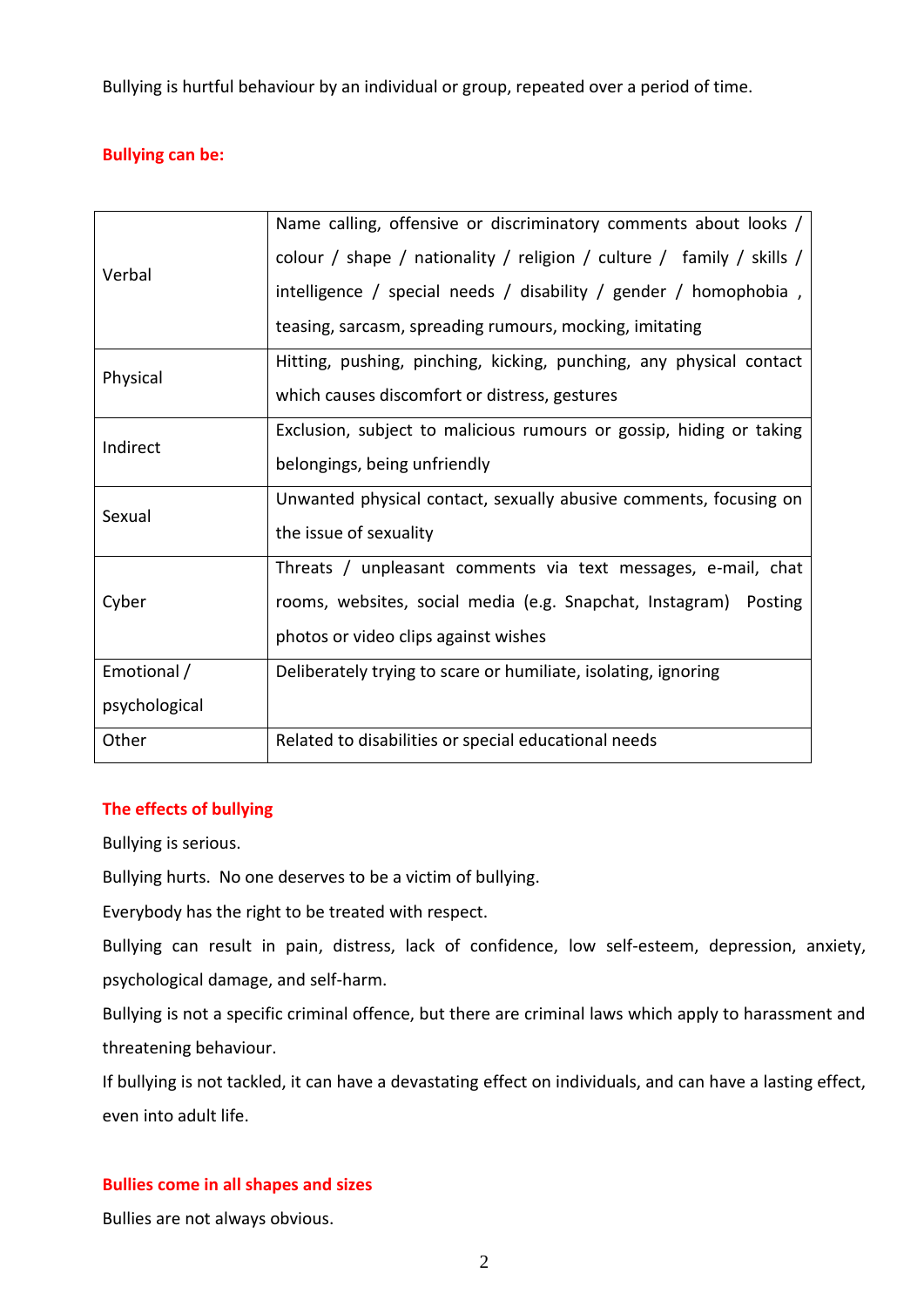Bullying is hurtful behaviour by an individual or group, repeated over a period of time.

# **Bullying can be:**

| Verbal        | Name calling, offensive or discriminatory comments about looks /      |
|---------------|-----------------------------------------------------------------------|
|               | colour / shape / nationality / religion / culture / family / skills / |
|               | intelligence / special needs / disability / gender / homophobia ,     |
|               | teasing, sarcasm, spreading rumours, mocking, imitating               |
| Physical      | Hitting, pushing, pinching, kicking, punching, any physical contact   |
|               | which causes discomfort or distress, gestures                         |
| Indirect      | Exclusion, subject to malicious rumours or gossip, hiding or taking   |
|               | belongings, being unfriendly                                          |
| Sexual        | Unwanted physical contact, sexually abusive comments, focusing on     |
|               | the issue of sexuality                                                |
| Cyber         | Threats / unpleasant comments via text messages, e-mail, chat         |
|               | rooms, websites, social media (e.g. Snapchat, Instagram) Posting      |
|               | photos or video clips against wishes                                  |
| Emotional /   | Deliberately trying to scare or humiliate, isolating, ignoring        |
| psychological |                                                                       |
| Other         | Related to disabilities or special educational needs                  |

# **The effects of bullying**

Bullying is serious.

Bullying hurts. No one deserves to be a victim of bullying.

Everybody has the right to be treated with respect.

Bullying can result in pain, distress, lack of confidence, low self-esteem, depression, anxiety, psychological damage, and self-harm.

Bullying is not a specific criminal offence, but there are criminal laws which apply to harassment and threatening behaviour.

If bullying is not tackled, it can have a devastating effect on individuals, and can have a lasting effect, even into adult life.

# **Bullies come in all shapes and sizes**

Bullies are not always obvious.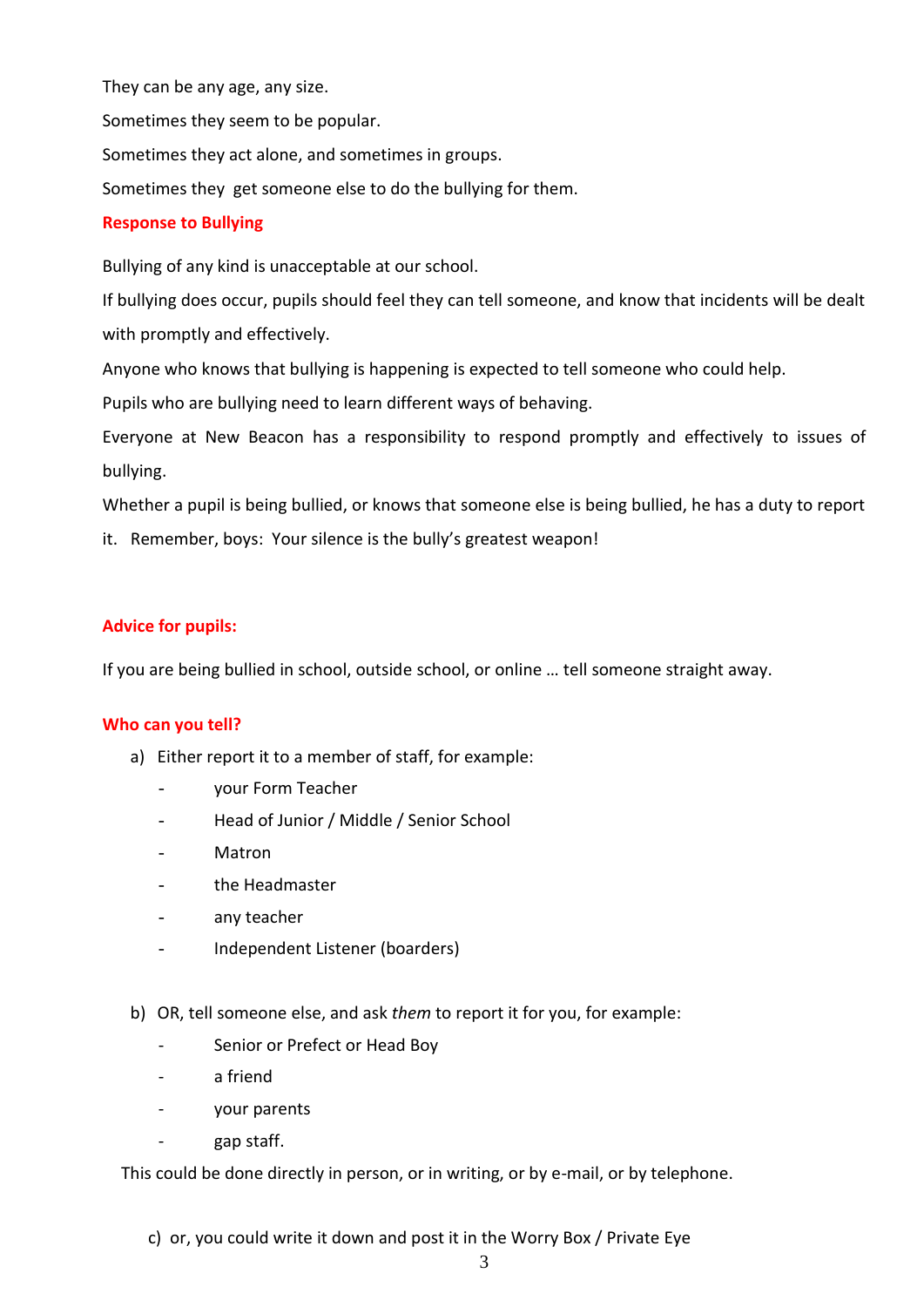They can be any age, any size.

Sometimes they seem to be popular.

Sometimes they act alone, and sometimes in groups.

Sometimes they get someone else to do the bullying for them.

# **Response to Bullying**

Bullying of any kind is unacceptable at our school.

If bullying does occur, pupils should feel they can tell someone, and know that incidents will be dealt with promptly and effectively.

Anyone who knows that bullying is happening is expected to tell someone who could help.

Pupils who are bullying need to learn different ways of behaving.

Everyone at New Beacon has a responsibility to respond promptly and effectively to issues of bullying.

Whether a pupil is being bullied, or knows that someone else is being bullied, he has a duty to report

it. Remember, boys: Your silence is the bully's greatest weapon!

# **Advice for pupils:**

If you are being bullied in school, outside school, or online … tell someone straight away.

### **Who can you tell?**

- a) Either report it to a member of staff, for example:
	- your Form Teacher
	- Head of Junior / Middle / Senior School
	- **Matron**
	- the Headmaster
	- any teacher
	- Independent Listener (boarders)
- b) OR, tell someone else, and ask *them* to report it for you, for example:
	- Senior or Prefect or Head Boy
	- a friend
	- your parents
		- gap staff.

This could be done directly in person, or in writing, or by e-mail, or by telephone.

c) or, you could write it down and post it in the Worry Box / Private Eye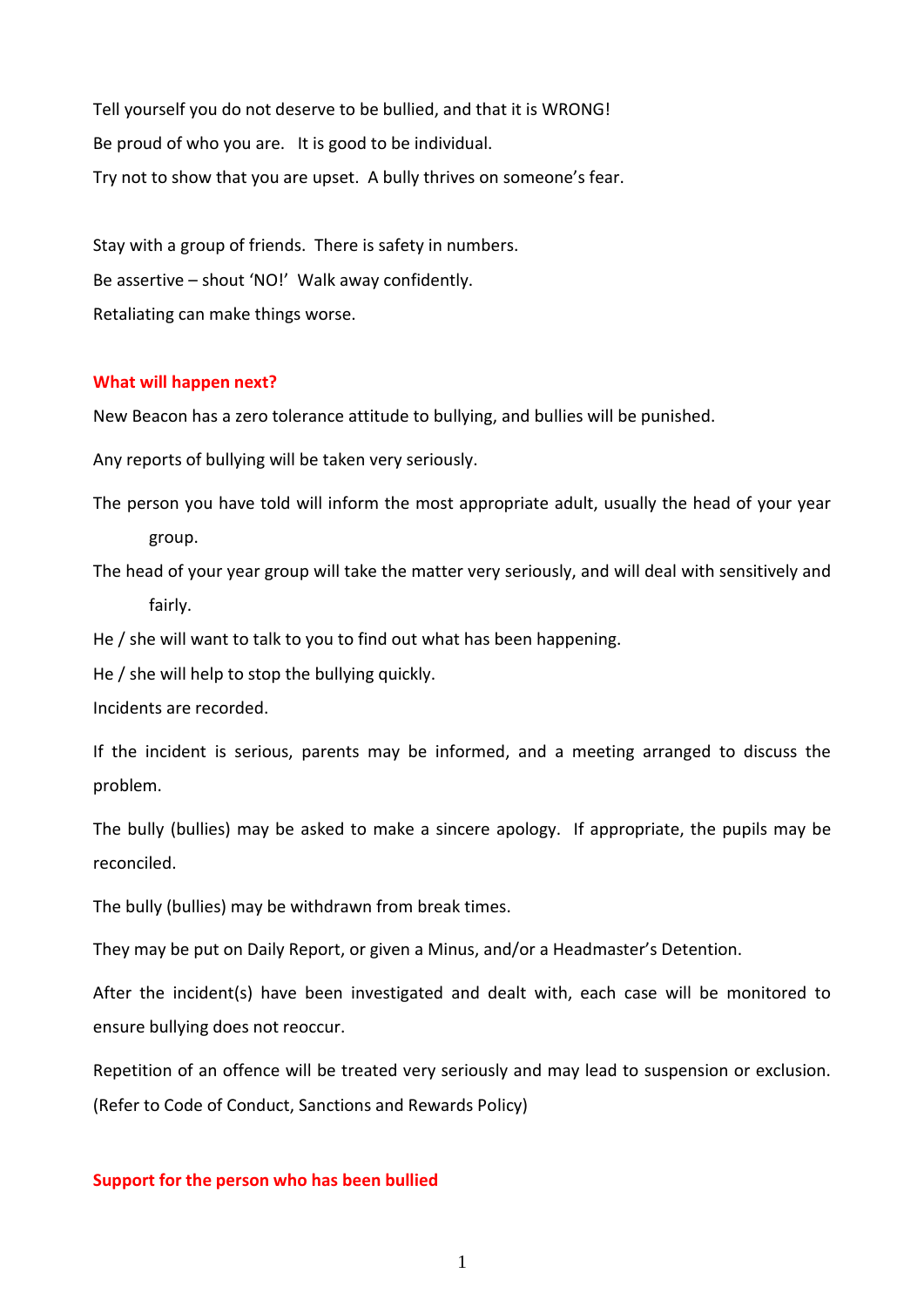Tell yourself you do not deserve to be bullied, and that it is WRONG! Be proud of who you are. It is good to be individual. Try not to show that you are upset. A bully thrives on someone's fear.

Stay with a group of friends. There is safety in numbers. Be assertive – shout 'NO!' Walk away confidently. Retaliating can make things worse.

#### **What will happen next?**

New Beacon has a zero tolerance attitude to bullying, and bullies will be punished.

Any reports of bullying will be taken very seriously.

The person you have told will inform the most appropriate adult, usually the head of your year group.

The head of your year group will take the matter very seriously, and will deal with sensitively and fairly.

He / she will want to talk to you to find out what has been happening.

He / she will help to stop the bullying quickly.

Incidents are recorded.

If the incident is serious, parents may be informed, and a meeting arranged to discuss the problem.

The bully (bullies) may be asked to make a sincere apology. If appropriate, the pupils may be reconciled.

The bully (bullies) may be withdrawn from break times.

They may be put on Daily Report, or given a Minus, and/or a Headmaster's Detention.

After the incident(s) have been investigated and dealt with, each case will be monitored to ensure bullying does not reoccur.

Repetition of an offence will be treated very seriously and may lead to suspension or exclusion. (Refer to Code of Conduct, Sanctions and Rewards Policy)

#### **Support for the person who has been bullied**

1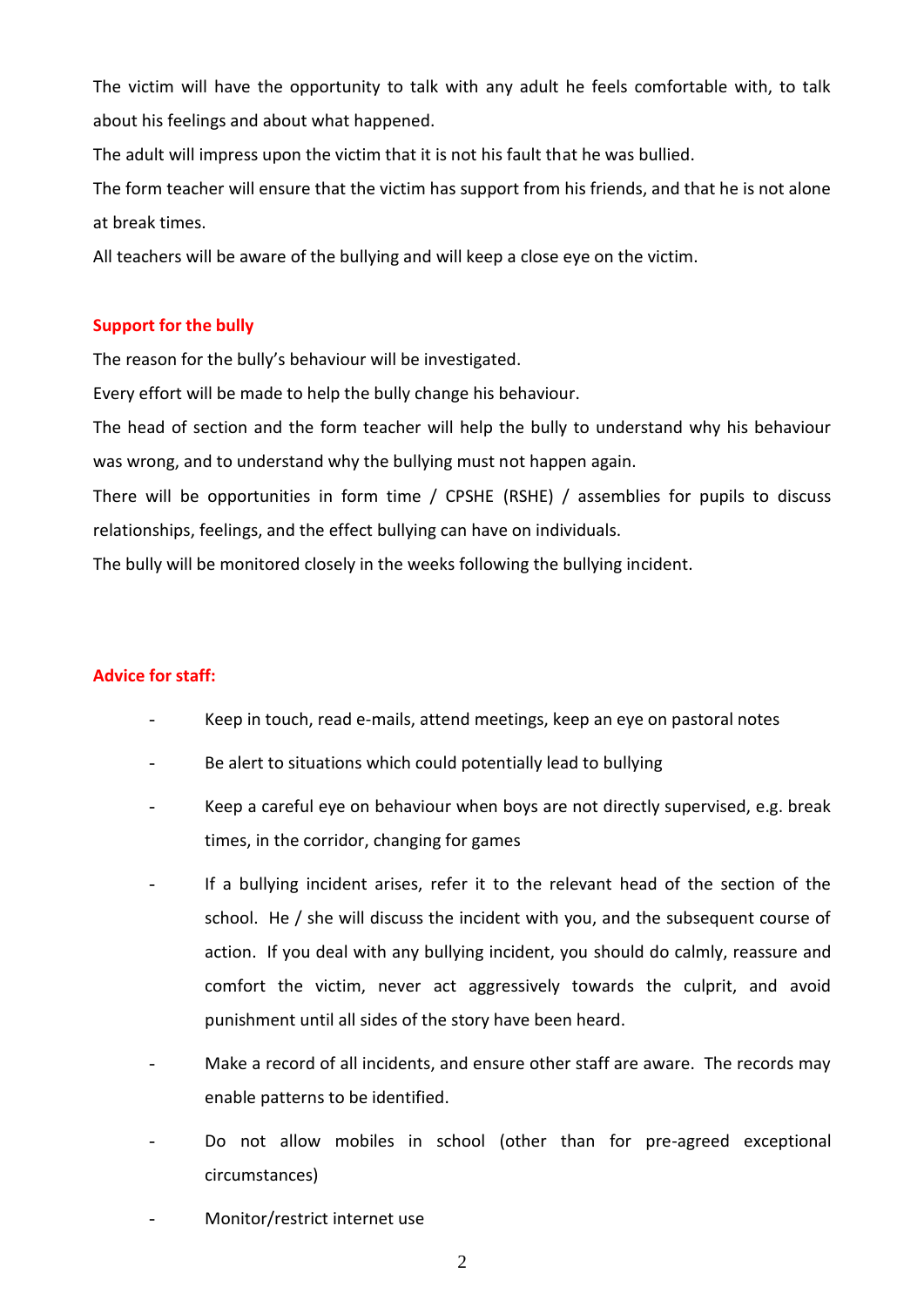The victim will have the opportunity to talk with any adult he feels comfortable with, to talk about his feelings and about what happened.

The adult will impress upon the victim that it is not his fault that he was bullied.

The form teacher will ensure that the victim has support from his friends, and that he is not alone at break times.

All teachers will be aware of the bullying and will keep a close eye on the victim.

# **Support for the bully**

The reason for the bully's behaviour will be investigated.

Every effort will be made to help the bully change his behaviour.

The head of section and the form teacher will help the bully to understand why his behaviour was wrong, and to understand why the bullying must not happen again.

There will be opportunities in form time / CPSHE (RSHE) / assemblies for pupils to discuss relationships, feelings, and the effect bullying can have on individuals.

The bully will be monitored closely in the weeks following the bullying incident.

# **Advice for staff:**

- Keep in touch, read e-mails, attend meetings, keep an eye on pastoral notes
- Be alert to situations which could potentially lead to bullying
- Keep a careful eye on behaviour when boys are not directly supervised, e.g. break times, in the corridor, changing for games
- If a bullying incident arises, refer it to the relevant head of the section of the school. He / she will discuss the incident with you, and the subsequent course of action. If you deal with any bullying incident, you should do calmly, reassure and comfort the victim, never act aggressively towards the culprit, and avoid punishment until all sides of the story have been heard.
- Make a record of all incidents, and ensure other staff are aware. The records may enable patterns to be identified.
- Do not allow mobiles in school (other than for pre-agreed exceptional circumstances)
- Monitor/restrict internet use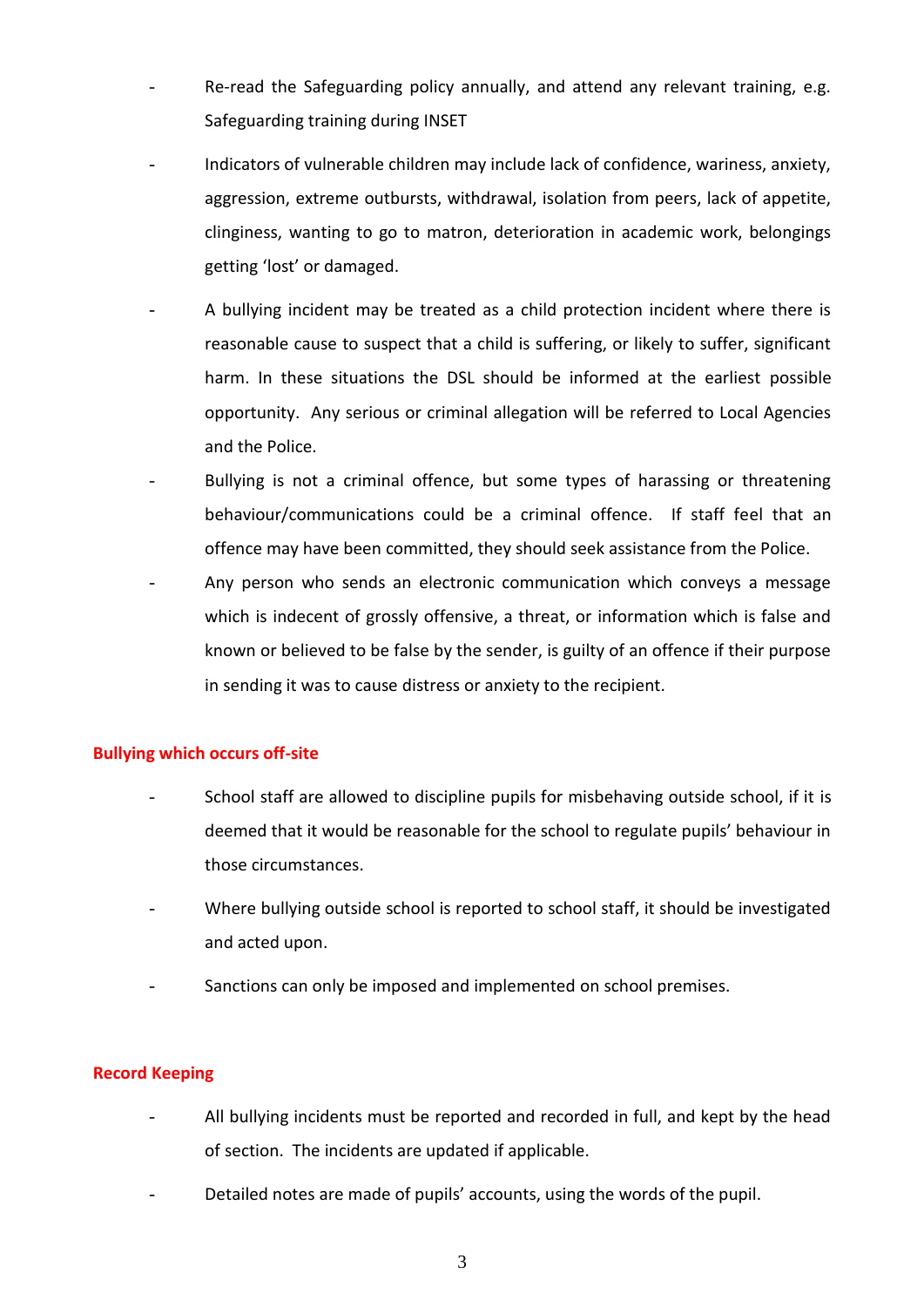- Re-read the Safeguarding policy annually, and attend any relevant training, e.g. Safeguarding training during INSET
- Indicators of vulnerable children may include lack of confidence, wariness, anxiety, aggression, extreme outbursts, withdrawal, isolation from peers, lack of appetite, clinginess, wanting to go to matron, deterioration in academic work, belongings getting 'lost' or damaged.
- A bullying incident may be treated as a child protection incident where there is reasonable cause to suspect that a child is suffering, or likely to suffer, significant harm. In these situations the DSL should be informed at the earliest possible opportunity. Any serious or criminal allegation will be referred to Local Agencies and the Police.
- Bullying is not a criminal offence, but some types of harassing or threatening behaviour/communications could be a criminal offence. If staff feel that an offence may have been committed, they should seek assistance from the Police.
- Any person who sends an electronic communication which conveys a message which is indecent of grossly offensive, a threat, or information which is false and known or believed to be false by the sender, is guilty of an offence if their purpose in sending it was to cause distress or anxiety to the recipient.

### **Bullying which occurs off-site**

- School staff are allowed to discipline pupils for misbehaving outside school, if it is deemed that it would be reasonable for the school to regulate pupils' behaviour in those circumstances.
- Where bullying outside school is reported to school staff, it should be investigated and acted upon.
- Sanctions can only be imposed and implemented on school premises.

### **Record Keeping**

- All bullying incidents must be reported and recorded in full, and kept by the head of section. The incidents are updated if applicable.
- Detailed notes are made of pupils' accounts, using the words of the pupil.